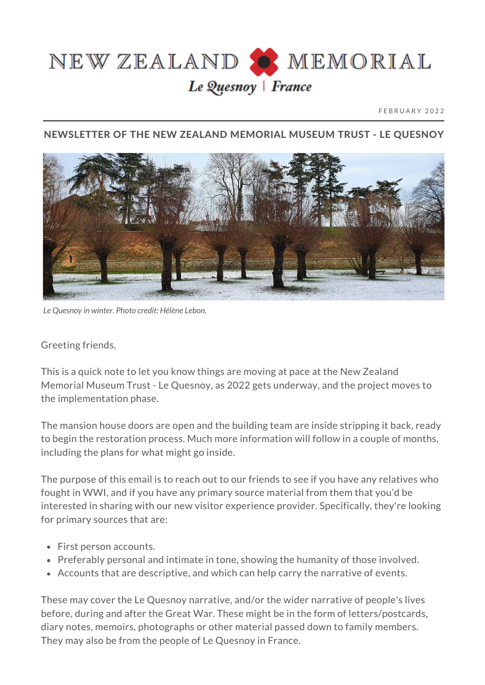

FEBRUARY 2022

## NEWSLETTER OF THE NEW ZEALAND MEMORIAL MUSEUM TRUST - LE QUESNOY



*Le Quesnoy in winter. Photo credit: Hélène Lebon.*

## Greeting friends,

This is a quick note to let you know things are moving at pace at the New Zealand Memorial Museum Trust - Le Quesnoy, as 2022 gets underway, and the project moves to the implementation phase.

The mansion house doors are open and the building team are inside stripping it back, ready to begin the restoration process. Much more information will follow in a couple of months, including the plans for what might go inside.

The purpose of this email is to reach out to our friends to see if you have any relatives who fought in WWI, and if you have any primary source material from them that you'd be interested in sharing with our new visitor experience provider. Specifically, they're looking for primary sources that are:

- First person accounts.
- Preferably personal and intimate in tone, showing the humanity of those involved.
- Accounts that are descriptive, and which can help carry the narrative of events.

These may cover the Le Quesnoy narrative, and/or the wider narrative of people's lives before, during and after the Great War. These might be in the form of letters/postcards, diary notes, memoirs, photographs or other material passed down to family members. They may also be from the people of Le Quesnoy in France.